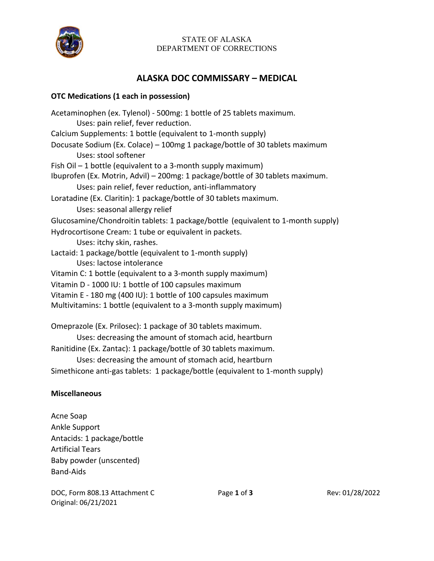

## STATE OF ALASKA DEPARTMENT OF CORRECTIONS

## **ALASKA DOC COMMISSARY – MEDICAL**

## **OTC Medications (1 each in possession)**

Acetaminophen (ex. Tylenol) - 500mg: 1 bottle of 25 tablets maximum. Uses: pain relief, fever reduction. Calcium Supplements: 1 bottle (equivalent to 1-month supply) Docusate Sodium (Ex. Colace) – 100mg 1 package/bottle of 30 tablets maximum Uses: stool softener Fish Oil – 1 bottle (equivalent to a 3-month supply maximum) Ibuprofen (Ex. Motrin, Advil) – 200mg: 1 package/bottle of 30 tablets maximum. Uses: pain relief, fever reduction, anti-inflammatory Loratadine (Ex. Claritin): 1 package/bottle of 30 tablets maximum. Uses: seasonal allergy relief Glucosamine/Chondroitin tablets: 1 package/bottle (equivalent to 1-month supply) Hydrocortisone Cream: 1 tube or equivalent in packets. Uses: itchy skin, rashes. Lactaid: 1 package/bottle (equivalent to 1-month supply) Uses: lactose intolerance Vitamin C: 1 bottle (equivalent to a 3-month supply maximum) Vitamin D - 1000 IU: 1 bottle of 100 capsules maximum Vitamin E - 180 mg (400 IU): 1 bottle of 100 capsules maximum Multivitamins: 1 bottle (equivalent to a 3-month supply maximum) Omeprazole (Ex. Prilosec): 1 package of 30 tablets maximum. Uses: decreasing the amount of stomach acid, heartburn

Ranitidine (Ex. Zantac): 1 package/bottle of 30 tablets maximum. Uses: decreasing the amount of stomach acid, heartburn

Simethicone anti-gas tablets: 1 package/bottle (equivalent to 1-month supply)

## **Miscellaneous**

Acne Soap Ankle Support Antacids: 1 package/bottle Artificial Tears Baby powder (unscented) Band-Aids

DOC, Form 808.13 Attachment C Page **1** of **3** Rev: 01/28/2022 Original: 06/21/2021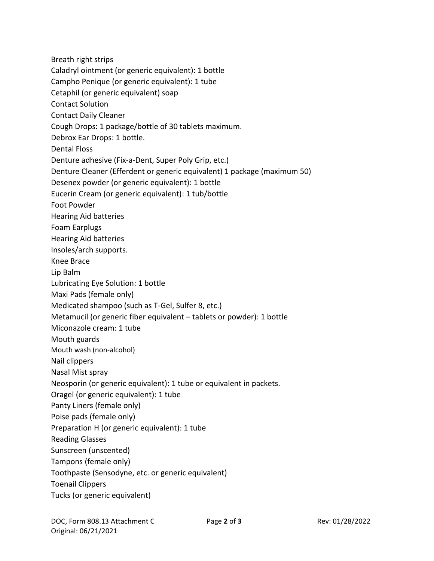Breath right strips Caladryl ointment (or generic equivalent): 1 bottle Campho Penique (or generic equivalent): 1 tube Cetaphil (or generic equivalent) soap Contact Solution Contact Daily Cleaner Cough Drops: 1 package/bottle of 30 tablets maximum. Debrox Ear Drops: 1 bottle. Dental Floss Denture adhesive (Fix-a-Dent, Super Poly Grip, etc.) Denture Cleaner (Efferdent or generic equivalent) 1 package (maximum 50) Desenex powder (or generic equivalent): 1 bottle Eucerin Cream (or generic equivalent): 1 tub/bottle Foot Powder Hearing Aid batteries Foam Earplugs Hearing Aid batteries Insoles/arch supports. Knee Brace Lip Balm Lubricating Eye Solution: 1 bottle Maxi Pads (female only) Medicated shampoo (such as T-Gel, Sulfer 8, etc.) Metamucil (or generic fiber equivalent – tablets or powder): 1 bottle Miconazole cream: 1 tube Mouth guards Mouth wash (non-alcohol) Nail clippers Nasal Mist spray Neosporin (or generic equivalent): 1 tube or equivalent in packets. Oragel (or generic equivalent): 1 tube Panty Liners (female only) Poise pads (female only) Preparation H (or generic equivalent): 1 tube Reading Glasses Sunscreen (unscented) Tampons (female only) Toothpaste (Sensodyne, etc. or generic equivalent) Toenail Clippers Tucks (or generic equivalent)